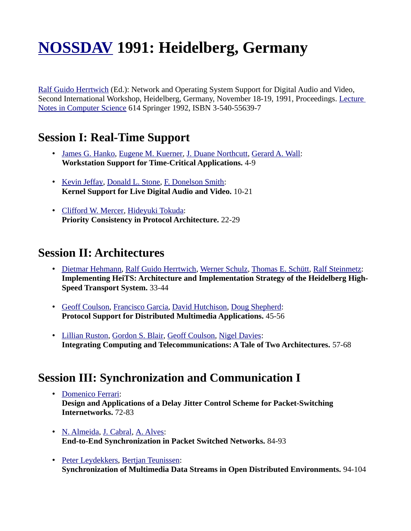# **[NOSSDAV](http://www.informatik.uni-trier.de/~ley/db/conf/nossdav/index.html) 1991: Heidelberg, Germany**

[Ralf Guido Herrtwich](http://www.informatik.uni-trier.de/~ley/db/indices/a-tree/h/Herrtwich:Ralf_Guido.html) (Ed.): Network and Operating System Support for Digital Audio and Video, Second International Workshop, Heidelberg, Germany, November 18-19, 1991, Proceedings. [Lecture](http://www.informatik.uni-trier.de/~ley/db/journals/lncs.html)  [Notes in Computer Science](http://www.informatik.uni-trier.de/~ley/db/journals/lncs.html) 614 Springer 1992, ISBN 3-540-55639-7

### **Session I: Real-Time Support**

- • [James G. Hanko,](http://www.informatik.uni-trier.de/~ley/db/indices/a-tree/h/Hanko:James_G=.html) [Eugene M. Kuerner,](http://www.informatik.uni-trier.de/~ley/db/indices/a-tree/k/Kuerner:Eugene_M=.html) [J. Duane Northcutt,](http://www.informatik.uni-trier.de/~ley/db/indices/a-tree/n/Northcutt:J=_Duane.html) [Gerard A. Wall:](http://www.informatik.uni-trier.de/~ley/db/indices/a-tree/w/Wall:Gerard_A=.html) **Workstation Support for Time-Critical Applications.** 4-9
- • [Kevin Jeffay,](http://www.informatik.uni-trier.de/~ley/db/indices/a-tree/j/Jeffay:Kevin.html) [Donald L. Stone,](http://www.informatik.uni-trier.de/~ley/db/indices/a-tree/s/Stone:Donald_L=.html) [F. Donelson Smith:](http://www.informatik.uni-trier.de/~ley/db/indices/a-tree/s/Smith:F=_Donelson.html) **Kernel Support for Live Digital Audio and Video.** 10-21
- • [Clifford W. Mercer,](http://www.informatik.uni-trier.de/~ley/db/indices/a-tree/m/Mercer:Clifford_W=.html) [Hideyuki Tokuda:](http://www.informatik.uni-trier.de/~ley/db/indices/a-tree/t/Tokuda:Hideyuki.html) **Priority Consistency in Protocol Architecture.** 22-29

### **Session II: Architectures**

- • [Dietmar Hehmann,](http://www.informatik.uni-trier.de/~ley/db/indices/a-tree/h/Hehmann:Dietmar.html) [Ralf Guido Herrtwich,](http://www.informatik.uni-trier.de/~ley/db/indices/a-tree/h/Herrtwich:Ralf_Guido.html) [Werner Schulz,](http://www.informatik.uni-trier.de/~ley/db/indices/a-tree/s/Schulz:Werner.html) [Thomas E. Schütt,](http://www.informatik.uni-trier.de/~ley/db/indices/a-tree/s/Sch=uuml=tt:Thomas_E=.html) [Ralf Steinmetz:](http://www.informatik.uni-trier.de/~ley/db/indices/a-tree/s/Steinmetz:Ralf.html) **Implementing HeiTS: Architecture and Implementation Strategy of the Heidelberg High-Speed Transport System.** 33-44
- • [Geoff Coulson,](http://www.informatik.uni-trier.de/~ley/db/indices/a-tree/c/Coulson:Geoff.html) [Francisco Garcia,](http://www.informatik.uni-trier.de/~ley/db/indices/a-tree/g/Garcia:Francisco.html) [David Hutchison,](http://www.informatik.uni-trier.de/~ley/db/indices/a-tree/h/Hutchison:David.html) [Doug Shepherd:](http://www.informatik.uni-trier.de/~ley/db/indices/a-tree/s/Shepherd:Doug.html) **Protocol Support for Distributed Multimedia Applications.** 45-56
- • [Lillian Ruston,](http://www.informatik.uni-trier.de/~ley/db/indices/a-tree/r/Ruston:Lillian.html) [Gordon S. Blair,](http://www.informatik.uni-trier.de/~ley/db/indices/a-tree/b/Blair:Gordon_S=.html) [Geoff Coulson,](http://www.informatik.uni-trier.de/~ley/db/indices/a-tree/c/Coulson:Geoff.html) [Nigel Davies:](http://www.informatik.uni-trier.de/~ley/db/indices/a-tree/d/Davies:Nigel.html) **Integrating Computing and Telecommunications: A Tale of Two Architectures.** 57-68

### **Session III: Synchronization and Communication I**

- • [Domenico Ferrari:](http://www.informatik.uni-trier.de/~ley/db/indices/a-tree/f/Ferrari:Domenico.html) **Design and Applications of a Delay Jitter Control Scheme for Packet-Switching Internetworks.** 72-83
- • [N. Almeida,](http://www.informatik.uni-trier.de/~ley/db/indices/a-tree/a/Almeida:N=.html) [J. Cabral,](http://www.informatik.uni-trier.de/~ley/db/indices/a-tree/c/Cabral:J=.html) [A. Alves:](http://www.informatik.uni-trier.de/~ley/db/indices/a-tree/a/Alves:A=.html) **End-to-End Synchronization in Packet Switched Networks.** 84-93
- • [Peter Leydekkers,](http://www.informatik.uni-trier.de/~ley/db/indices/a-tree/l/Leydekkers:Peter.html) [Bertjan Teunissen:](http://www.informatik.uni-trier.de/~ley/db/indices/a-tree/t/Teunissen:Bertjan.html) **Synchronization of Multimedia Data Streams in Open Distributed Environments.** 94-104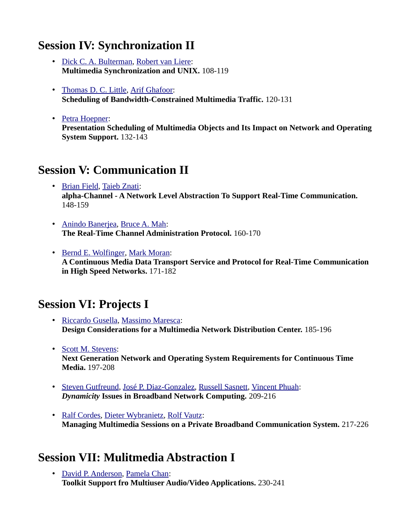## **Session IV: Synchronization II**

- • [Dick C. A. Bulterman,](http://www.informatik.uni-trier.de/~ley/db/indices/a-tree/b/Bulterman:Dick_C=_A=.html) [Robert van Liere:](http://www.informatik.uni-trier.de/~ley/db/indices/a-tree/l/Liere:Robert_van.html) **Multimedia Synchronization and UNIX.** 108-119
- • [Thomas D. C. Little,](http://www.informatik.uni-trier.de/~ley/db/indices/a-tree/l/Little:Thomas_D=_C=.html) [Arif Ghafoor:](http://www.informatik.uni-trier.de/~ley/db/indices/a-tree/g/Ghafoor:Arif.html) **Scheduling of Bandwidth-Constrained Multimedia Traffic.** 120-131
- • [Petra Hoepner:](http://www.informatik.uni-trier.de/~ley/db/indices/a-tree/h/Hoepner:Petra.html) **Presentation Scheduling of Multimedia Objects and Its Impact on Network and Operating System Support.** 132-143

## **Session V: Communication II**

- • [Brian Field,](http://www.informatik.uni-trier.de/~ley/db/indices/a-tree/f/Field:Brian.html) [Taieb Znati:](http://www.informatik.uni-trier.de/~ley/db/indices/a-tree/z/Znati:Taieb.html) **alpha-Channel - A Network Level Abstraction To Support Real-Time Communication.**  148-159
- • [Anindo Banerjea,](http://www.informatik.uni-trier.de/~ley/db/indices/a-tree/b/Banerjea:Anindo.html) [Bruce A. Mah:](http://www.informatik.uni-trier.de/~ley/db/indices/a-tree/m/Mah:Bruce_A=.html) **The Real-Time Channel Administration Protocol.** 160-170
- • [Bernd E. Wolfinger,](http://www.informatik.uni-trier.de/~ley/db/indices/a-tree/w/Wolfinger:Bernd_E=.html) [Mark Moran:](http://www.informatik.uni-trier.de/~ley/db/indices/a-tree/m/Moran:Mark.html) **A Continuous Media Data Transport Service and Protocol for Real-Time Communication in High Speed Networks.** 171-182

## **Session VI: Projects I**

- • [Riccardo Gusella,](http://www.informatik.uni-trier.de/~ley/db/indices/a-tree/g/Gusella:Riccardo.html) [Massimo Maresca:](http://www.informatik.uni-trier.de/~ley/db/indices/a-tree/m/Maresca:Massimo.html) **Design Considerations for a Multimedia Network Distribution Center.** 185-196
- • [Scott M. Stevens:](http://www.informatik.uni-trier.de/~ley/db/indices/a-tree/s/Stevens:Scott_M=.html) **Next Generation Network and Operating System Requirements for Continuous Time Media.** 197-208
- • [Steven Gutfreund,](http://www.informatik.uni-trier.de/~ley/db/indices/a-tree/g/Gutfreund:Steven.html) [José P. Diaz-Gonzalez,](http://www.informatik.uni-trier.de/~ley/db/indices/a-tree/d/Diaz=Gonzalez:Jos=eacute=_P=.html) [Russell Sasnett,](http://www.informatik.uni-trier.de/~ley/db/indices/a-tree/s/Sasnett:Russell.html) [Vincent Phuah:](http://www.informatik.uni-trier.de/~ley/db/indices/a-tree/p/Phuah:Vincent.html) *Dynamicity* **Issues in Broadband Network Computing.** 209-216
- • [Ralf Cordes,](http://www.informatik.uni-trier.de/~ley/db/indices/a-tree/c/Cordes:Ralf.html) [Dieter Wybranietz,](http://www.informatik.uni-trier.de/~ley/db/indices/a-tree/w/Wybranietz:Dieter.html) [Rolf Vautz:](http://www.informatik.uni-trier.de/~ley/db/indices/a-tree/v/Vautz:Rolf.html) **Managing Multimedia Sessions on a Private Broadband Communication System.** 217-226

## **Session VII: Mulitmedia Abstraction I**

• [David P. Anderson,](http://www.informatik.uni-trier.de/~ley/db/indices/a-tree/a/Anderson:David_P=.html) [Pamela Chan:](http://www.informatik.uni-trier.de/~ley/db/indices/a-tree/c/Chan:Pamela.html) **Toolkit Support fro Multiuser Audio/Video Applications.** 230-241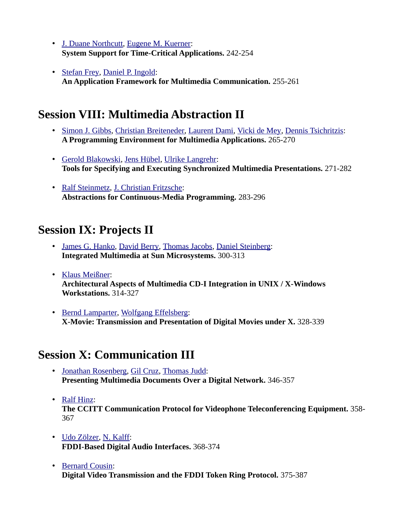- • [J. Duane Northcutt,](http://www.informatik.uni-trier.de/~ley/db/indices/a-tree/n/Northcutt:J=_Duane.html) [Eugene M. Kuerner:](http://www.informatik.uni-trier.de/~ley/db/indices/a-tree/k/Kuerner:Eugene_M=.html) **System Support for Time-Critical Applications.** 242-254
- • [Stefan Frey,](http://www.informatik.uni-trier.de/~ley/db/indices/a-tree/f/Frey:Stefan.html) [Daniel P. Ingold:](http://www.informatik.uni-trier.de/~ley/db/indices/a-tree/i/Ingold:Daniel_P=.html) **An Application Framework for Multimedia Communication.** 255-261

## **Session VIII: Multimedia Abstraction II**

- • [Simon J. Gibbs,](http://www.informatik.uni-trier.de/~ley/db/indices/a-tree/g/Gibbs:Simon_J=.html) [Christian Breiteneder,](http://www.informatik.uni-trier.de/~ley/db/indices/a-tree/b/Breiteneder:Christian.html) [Laurent Dami,](http://www.informatik.uni-trier.de/~ley/db/indices/a-tree/d/Dami:Laurent.html) [Vicki de Mey,](http://www.informatik.uni-trier.de/~ley/db/indices/a-tree/m/Mey:Vicki_de.html) [Dennis Tsichritzis:](http://www.informatik.uni-trier.de/~ley/db/indices/a-tree/t/Tsichritzis:Dennis.html) **A Programming Environment for Multimedia Applications.** 265-270
- • [Gerold Blakowski,](http://www.informatik.uni-trier.de/~ley/db/indices/a-tree/b/Blakowski:Gerold.html) [Jens Hübel,](http://www.informatik.uni-trier.de/~ley/db/indices/a-tree/h/H=uuml=bel:Jens.html) [Ulrike Langrehr:](http://www.informatik.uni-trier.de/~ley/db/indices/a-tree/l/Langrehr:Ulrike.html) **Tools for Specifying and Executing Synchronized Multimedia Presentations.** 271-282
- • [Ralf Steinmetz,](http://www.informatik.uni-trier.de/~ley/db/indices/a-tree/s/Steinmetz:Ralf.html) [J. Christian Fritzsche:](http://www.informatik.uni-trier.de/~ley/db/indices/a-tree/f/Fritzsche:J=_Christian.html) **Abstractions for Continuous-Media Programming.** 283-296

## **Session IX: Projects II**

- • [James G. Hanko,](http://www.informatik.uni-trier.de/~ley/db/indices/a-tree/h/Hanko:James_G=.html) [David Berry,](http://www.informatik.uni-trier.de/~ley/db/indices/a-tree/b/Berry:David.html) [Thomas Jacobs,](http://www.informatik.uni-trier.de/~ley/db/indices/a-tree/j/Jacobs:Thomas.html) [Daniel Steinberg:](http://www.informatik.uni-trier.de/~ley/db/indices/a-tree/s/Steinberg:Daniel.html) **Integrated Multimedia at Sun Microsystems.** 300-313
- • [Klaus Meißner:](http://www.informatik.uni-trier.de/~ley/db/indices/a-tree/m/Mei=szlig=ner:Klaus.html) **Architectural Aspects of Multimedia CD-I Integration in UNIX / X-Windows Workstations.** 314-327
- • [Bernd Lamparter,](http://www.informatik.uni-trier.de/~ley/db/indices/a-tree/l/Lamparter:Bernd.html) [Wolfgang Effelsberg:](http://www.informatik.uni-trier.de/~ley/db/indices/a-tree/e/Effelsberg:Wolfgang.html) **X-Movie: Transmission and Presentation of Digital Movies under X.** 328-339

## **Session X: Communication III**

- • [Jonathan Rosenberg,](http://www.informatik.uni-trier.de/~ley/db/indices/a-tree/r/Rosenberg:Jonathan.html) [Gil Cruz,](http://www.informatik.uni-trier.de/~ley/db/indices/a-tree/c/Cruz:Gil.html) [Thomas Judd:](http://www.informatik.uni-trier.de/~ley/db/indices/a-tree/j/Judd:Thomas.html) **Presenting Multimedia Documents Over a Digital Network.** 346-357
- • [Ralf Hinz:](http://www.informatik.uni-trier.de/~ley/db/indices/a-tree/h/Hinz:Ralf.html) **The CCITT Communication Protocol for Videophone Teleconferencing Equipment.** 358- 367
- • [Udo Zölzer,](http://www.informatik.uni-trier.de/~ley/db/indices/a-tree/z/Z=ouml=lzer:Udo.html) [N. Kalff:](http://www.informatik.uni-trier.de/~ley/db/indices/a-tree/k/Kalff:N=.html) **FDDI-Based Digital Audio Interfaces.** 368-374
- • [Bernard Cousin:](http://www.informatik.uni-trier.de/~ley/db/indices/a-tree/c/Cousin:Bernard.html) **Digital Video Transmission and the FDDI Token Ring Protocol.** 375-387